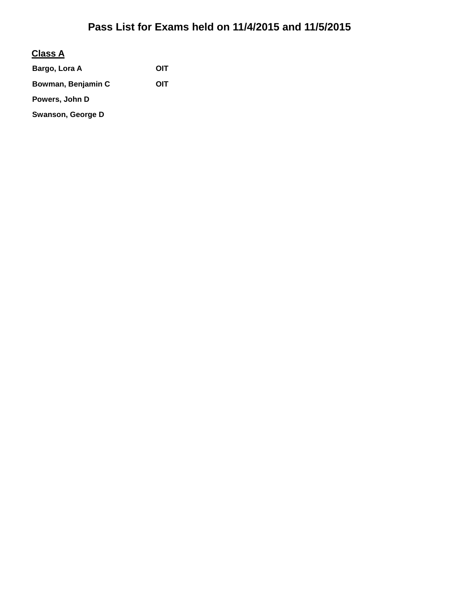#### **Class A**

Bargo, Lora A **OIT Bowman, Benjamin C OIT Powers, John D Swanson, George D**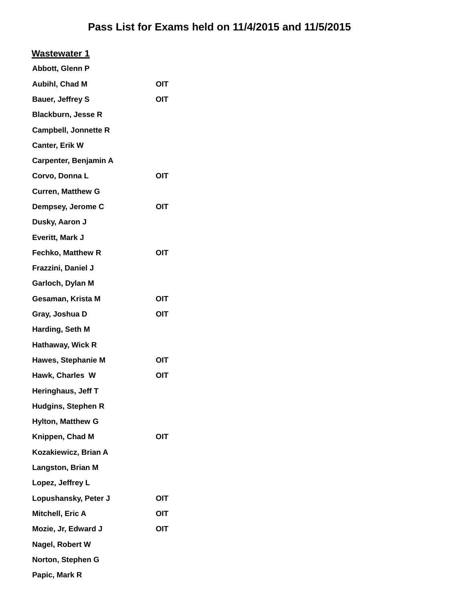| <b>Wastewater 1</b>         |     |
|-----------------------------|-----|
| Abbott, Glenn P             |     |
| Aubihl, Chad M              | OIT |
| <b>Bauer, Jeffrey S</b>     | OIT |
| <b>Blackburn, Jesse R</b>   |     |
| <b>Campbell, Jonnette R</b> |     |
| Canter, Erik W              |     |
| Carpenter, Benjamin A       |     |
| Corvo, Donna L              | OIT |
| <b>Curren, Matthew G</b>    |     |
| Dempsey, Jerome C           | OIT |
| Dusky, Aaron J              |     |
| Everitt, Mark J             |     |
| <b>Fechko, Matthew R</b>    | OIT |
| Frazzini, Daniel J          |     |
| Garloch, Dylan M            |     |
| Gesaman, Krista M           | OIT |
| Gray, Joshua D              | OIT |
| Harding, Seth M             |     |
| Hathaway, Wick R            |     |
| Hawes, Stephanie M          | OIT |
| Hawk, Charles W             | OIT |
| Heringhaus, Jeff T          |     |
| <b>Hudgins, Stephen R</b>   |     |
| <b>Hylton, Matthew G</b>    |     |
| Knippen, Chad M             | OIT |
| Kozakiewicz, Brian A        |     |
| Langston, Brian M           |     |
| Lopez, Jeffrey L            |     |
| Lopushansky, Peter J        | OIT |
| Mitchell, Eric A            | OIT |
| Mozie, Jr, Edward J         | OIT |
| Nagel, Robert W             |     |
| Norton, Stephen G           |     |
| Papic, Mark R               |     |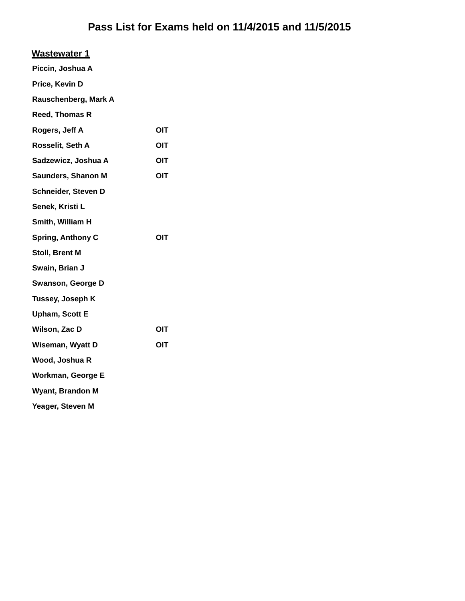| <b>Wastewater 1</b>      |     |
|--------------------------|-----|
| Piccin, Joshua A         |     |
| Price, Kevin D           |     |
| Rauschenberg, Mark A     |     |
| Reed, Thomas R           |     |
| Rogers, Jeff A           | OIT |
| Rosselit, Seth A         | OIT |
| Sadzewicz, Joshua A      | OIT |
| Saunders, Shanon M       | OIT |
| Schneider, Steven D      |     |
| Senek, Kristi L          |     |
| Smith, William H         |     |
| <b>Spring, Anthony C</b> | OIT |
| Stoll, Brent M           |     |
| Swain, Brian J           |     |
| Swanson, George D        |     |
| Tussey, Joseph K         |     |
| <b>Upham, Scott E</b>    |     |
| Wilson, Zac D            | OIT |
| Wiseman, Wyatt D         | OIT |
| Wood, Joshua R           |     |
| Workman, George E        |     |
| <b>Wyant, Brandon M</b>  |     |
| Yeager, Steven M         |     |
|                          |     |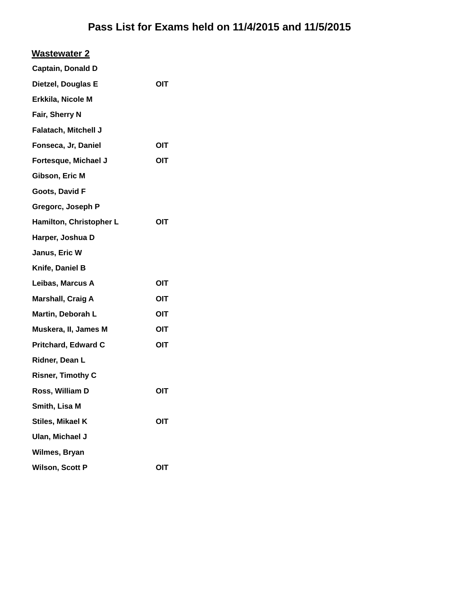| <b>Wastewater 2</b>         |     |
|-----------------------------|-----|
| <b>Captain, Donald D</b>    |     |
| Dietzel, Douglas E          | OIT |
| Erkkila, Nicole M           |     |
| Fair, Sherry N              |     |
| <b>Falatach, Mitchell J</b> |     |
| Fonseca, Jr, Daniel         | OIT |
| Fortesque, Michael J        | OIT |
| Gibson, Eric M              |     |
| Goots, David F              |     |
| Gregorc, Joseph P           |     |
| Hamilton, Christopher L     | OIT |
| Harper, Joshua D            |     |
| Janus, Eric W               |     |
| Knife, Daniel B             |     |
| Leibas, Marcus A            | OIT |
| <b>Marshall, Craig A</b>    | OIT |
| Martin, Deborah L           | OIT |
| Muskera, II, James M        | OIT |
| <b>Pritchard, Edward C</b>  | OIT |
| Ridner, Dean L              |     |
| <b>Risner, Timothy C</b>    |     |
| Ross, William D             | OIT |
| Smith, Lisa M               |     |
| Stiles, Mikael K            | OIT |
| Ulan, Michael J             |     |
| Wilmes, Bryan               |     |
| <b>Wilson, Scott P</b>      | OIT |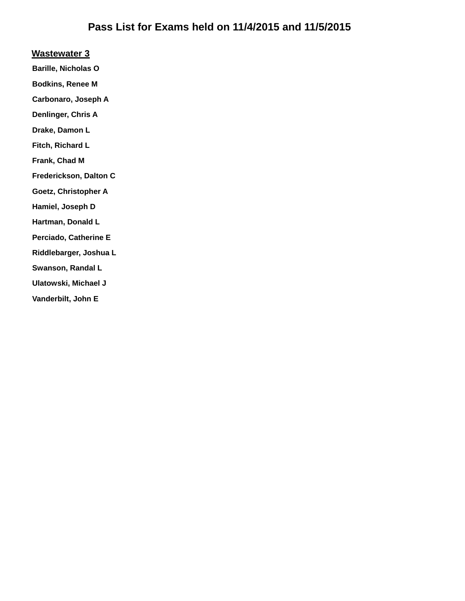#### **Wastewater 3**

**Barille, Nicholas O**

**Bodkins, Renee M**

**Carbonaro, Joseph A**

**Denlinger, Chris A**

**Drake, Damon L**

**Fitch, Richard L**

**Frank, Chad M**

**Frederickson, Dalton C**

**Goetz, Christopher A**

**Hamiel, Joseph D**

**Hartman, Donald L**

**Perciado, Catherine E**

**Riddlebarger, Joshua L**

**Swanson, Randal L**

**Ulatowski, Michael J**

**Vanderbilt, John E**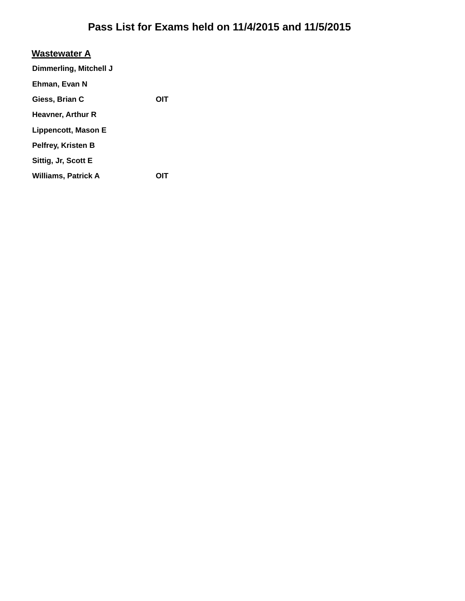| <b>Wastewater A</b>        |     |
|----------------------------|-----|
| Dimmerling, Mitchell J     |     |
| Ehman, Evan N              |     |
| Giess, Brian C             | OIT |
| Heavner, Arthur R          |     |
| Lippencott, Mason E        |     |
| Pelfrey, Kristen B         |     |
| Sittig, Jr, Scott E        |     |
| <b>Williams, Patrick A</b> |     |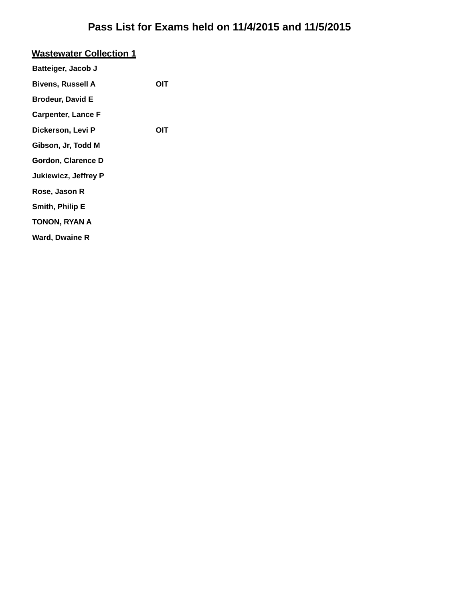| <b>Wastewater Collection 1</b> |     |
|--------------------------------|-----|
| Batteiger, Jacob J             |     |
| <b>Bivens, Russell A</b>       | OIT |
| <b>Brodeur, David E</b>        |     |
| <b>Carpenter, Lance F</b>      |     |
| Dickerson, Levi P              | OIT |
| Gibson, Jr, Todd M             |     |
| Gordon, Clarence D             |     |
| <b>Jukiewicz, Jeffrey P</b>    |     |
| Rose, Jason R                  |     |
| Smith, Philip E                |     |
| TONON, RYAN A                  |     |
| Ward, Dwaine R                 |     |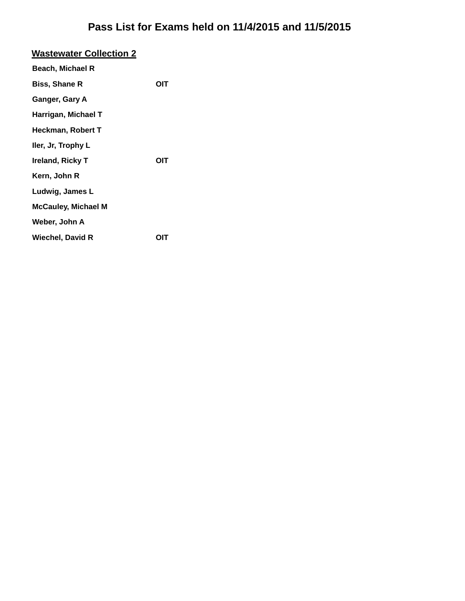| <b>Wastewater Collection 2</b> |     |
|--------------------------------|-----|
| Beach, Michael R               |     |
| <b>Biss, Shane R</b>           | OIT |
| Ganger, Gary A                 |     |
| Harrigan, Michael T            |     |
| Heckman, Robert T              |     |
| ller, Jr, Trophy L             |     |
| Ireland, Ricky T               | OIT |
| Kern, John R                   |     |
| Ludwig, James L                |     |
| <b>McCauley, Michael M</b>     |     |
| Weber, John A                  |     |
| Wiechel, David R               | OIT |
|                                |     |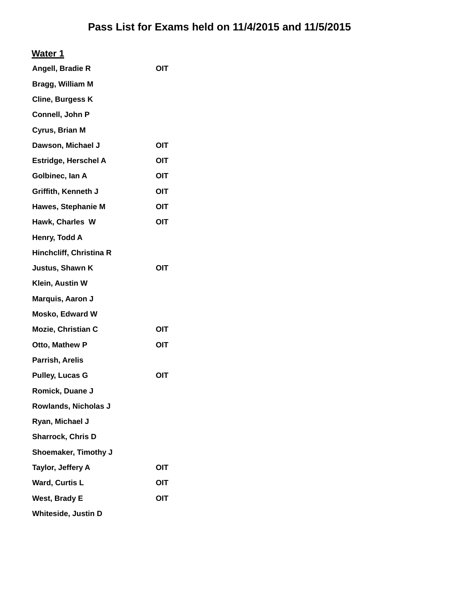| Water 1                    |     |
|----------------------------|-----|
| Angell, Bradie R           | OIT |
| Bragg, William M           |     |
| <b>Cline, Burgess K</b>    |     |
| Connell, John P            |     |
| Cyrus, Brian M             |     |
| Dawson, Michael J          | OIT |
| Estridge, Herschel A       | OIT |
| Golbinec, Ian A            | OIT |
| Griffith, Kenneth J        | OIT |
| <b>Hawes, Stephanie M</b>  | OIT |
| Hawk, Charles W            | OIT |
| Henry, Todd A              |     |
| Hinchcliff, Christina R    |     |
| Justus, Shawn K            | OIT |
| Klein, Austin W            |     |
| Marquis, Aaron J           |     |
| <b>Mosko, Edward W</b>     |     |
| Mozie, Christian C         | OIT |
| Otto, Mathew P             | OIT |
| Parrish, Arelis            |     |
| <b>Pulley, Lucas G</b>     | OIT |
| Romick, Duane J            |     |
| Rowlands, Nicholas J       |     |
| Ryan, Michael J            |     |
| <b>Sharrock, Chris D</b>   |     |
| Shoemaker, Timothy J       |     |
| Taylor, Jeffery A          | OIT |
| <b>Ward, Curtis L</b>      | OIT |
| <b>West, Brady E</b>       | OIT |
| <b>Whiteside, Justin D</b> |     |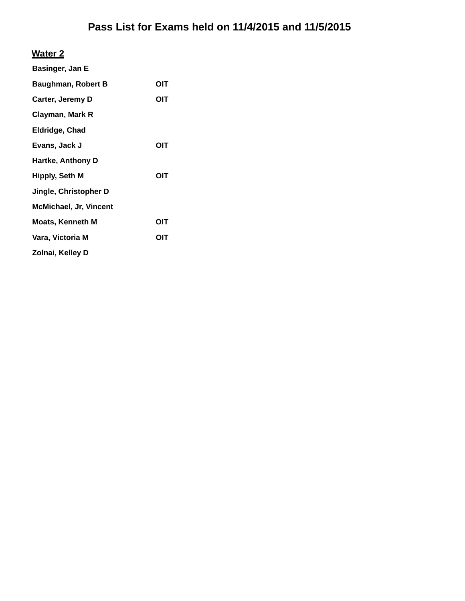#### **Water 2**

| Basinger, Jan E               |     |
|-------------------------------|-----|
| <b>Baughman, Robert B</b>     | ΟΙΤ |
| Carter, Jeremy D              | OIT |
| Clayman, Mark R               |     |
| Eldridge, Chad                |     |
| Evans, Jack J                 | ΟΙΤ |
| <b>Hartke, Anthony D</b>      |     |
| Hipply, Seth M                | OIT |
| Jingle, Christopher D         |     |
| <b>McMichael, Jr, Vincent</b> |     |
| <b>Moats, Kenneth M</b>       | ΟΙΤ |
| Vara, Victoria M              | OIT |
| Zolnai, Kelley D              |     |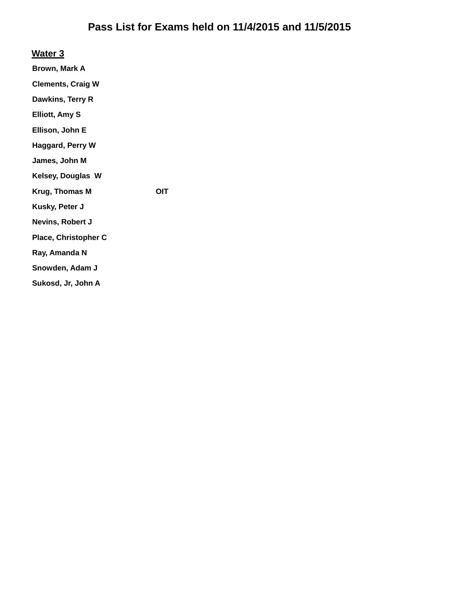**Water 3**

**Brown, Mark A**

**Clements, Craig W**

**Dawkins, Terry R**

**Elliott, Amy S**

**Ellison, John E**

**Haggard, Perry W**

**James, John M**

**Kelsey, Douglas W**

**Krug, Thomas M OIT**

**Kusky, Peter J**

**Nevins, Robert J**

**Place, Christopher C**

**Ray, Amanda N**

**Snowden, Adam J**

**Sukosd, Jr, John A**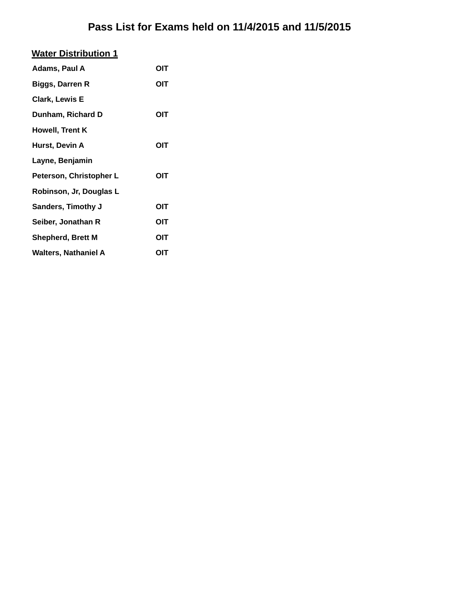|--|

| Adams, Paul A             | OIT |
|---------------------------|-----|
| <b>Biggs, Darren R</b>    | OIT |
| <b>Clark, Lewis E</b>     |     |
| Dunham, Richard D         | OIT |
| Howell, Trent K           |     |
| Hurst, Devin A            | OIT |
| Layne, Benjamin           |     |
| Peterson, Christopher L   | OIT |
| Robinson, Jr, Douglas L   |     |
| <b>Sanders, Timothy J</b> | OIT |
| Seiber, Jonathan R        | OIT |
| <b>Shepherd, Brett M</b>  | OIT |
| Walters, Nathaniel A      | ΟΙΤ |